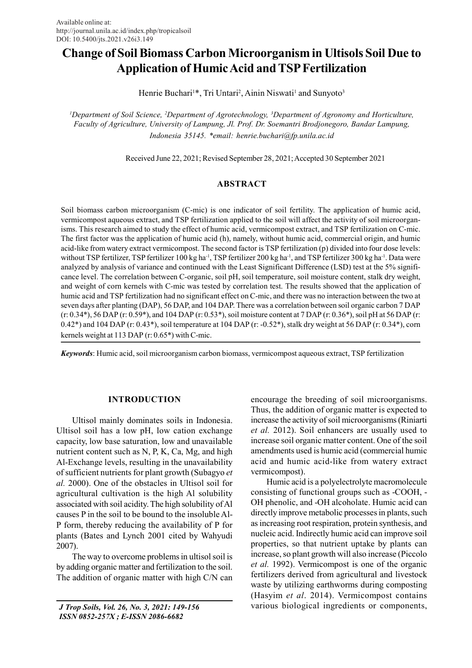# Change of Soil Biomass Carbon Microorganism in Ultisols Soil Due to Application of Humic Acid and TSP Fertilization

Henrie Buchari<sup>1\*</sup>, Tri Untari<sup>2</sup>, Ainin Niswati<sup>1</sup> and Sunyoto<sup>3</sup>

<sup>1</sup>Department of Soil Science, <sup>2</sup>Department of Agrotechnology, <sup>3</sup>Department of Agronomy and Horticulture, Faculty of Agriculture, University of Lampung, Jl. Prof. Dr. Soemantri Brodjonegoro, Bandar Lampung, Indonesia 35145. \*email: henrie.buchari@fp.unila.ac.id

Received June 22, 2021; Revised September 28, 2021; Accepted 30 September 2021

# ABSTRACT

Soil biomass carbon microorganism (C-mic) is one indicator of soil fertility. The application of humic acid, vermicompost aqueous extract, and TSP fertilization applied to the soil will affect the activity of soil microorganisms. This research aimed to study the effect of humic acid, vermicompost extract, and TSP fertilization on C-mic. The first factor was the application of humic acid (h), namely, without humic acid, commercial origin, and humic acid-like from watery extract vermicompost. The second factor is TSP fertilization (p) divided into four dose levels: without TSP fertilizer, TSP fertilizer 100 kg ha<sup>-1</sup>, TSP fertilizer 200 kg ha<sup>-1</sup>, and TSP fertilizer 300 kg ha<sup>-1</sup>. Data were analyzed by analysis of variance and continued with the Least Significant Difference (LSD) test at the 5% significance level. The correlation between C-organic, soil pH, soil temperature, soil moisture content, stalk dry weight, and weight of corn kernels with C-mic was tested by correlation test. The results showed that the application of humic acid and TSP fertilization had no significant effect on C-mic, and there was no interaction between the two at seven days after planting (DAP), 56 DAP, and 104 DAP. There was a correlation between soil organic carbon 7 DAP (r: 0.34\*), 56 DAP (r: 0.59\*), and 104 DAP (r: 0.53\*), soil moisture content at 7 DAP (r: 0.36\*), soil pH at 56 DAP (r: 0.42\*) and 104 DAP (r: 0.43\*), soil temperature at 104 DAP (r: -0.52\*), stalk dry weight at 56 DAP (r: 0.34\*), corn kernels weight at 113 DAP (r: 0.65\*) with C-mic.

Keywords: Humic acid, soil microorganism carbon biomass, vermicompost aqueous extract, TSP fertilization

## INTRODUCTION

Ultisol mainly dominates soils in Indonesia. Ultisol soil has a low pH, low cation exchange capacity, low base saturation, low and unavailable nutrient content such as N, P, K, Ca, Mg, and high Al-Exchange levels, resulting in the unavailability of sufficient nutrients for plant growth (Subagyo et al. 2000). One of the obstacles in Ultisol soil for agricultural cultivation is the high Al solubility associated with soil acidity. The high solubility of Al causes P in the soil to be bound to the insoluble Al-P form, thereby reducing the availability of P for plants (Bates and Lynch 2001 cited by Wahyudi 2007).

The way to overcome problems in ultisol soil is by adding organic matter and fertilization to the soil. The addition of organic matter with high C/N can

 J Trop Soils, Vol. 26, No. 3, 2021: 149-156 ISSN 0852-257X ; E-ISSN 2086-6682

encourage the breeding of soil microorganisms. Thus, the addition of organic matter is expected to increase the activity of soil microorganisms (Riniarti et al. 2012). Soil enhancers are usually used to increase soil organic matter content. One of the soil amendments used is humic acid (commercial humic acid and humic acid-like from watery extract vermicompost).

Humic acid is a polyelectrolyte macromolecule consisting of functional groups such as -COOH, - OH phenolic, and -OH alcoholate. Humic acid can directly improve metabolic processes in plants, such as increasing root respiration, protein synthesis, and nucleic acid. Indirectly humic acid can improve soil properties, so that nutrient uptake by plants can increase, so plant growth will also increase (Piccolo et al. 1992). Vermicompost is one of the organic fertilizers derived from agricultural and livestock waste by utilizing earthworms during composting (Hasyim et al. 2014). Vermicompost contains various biological ingredients or components,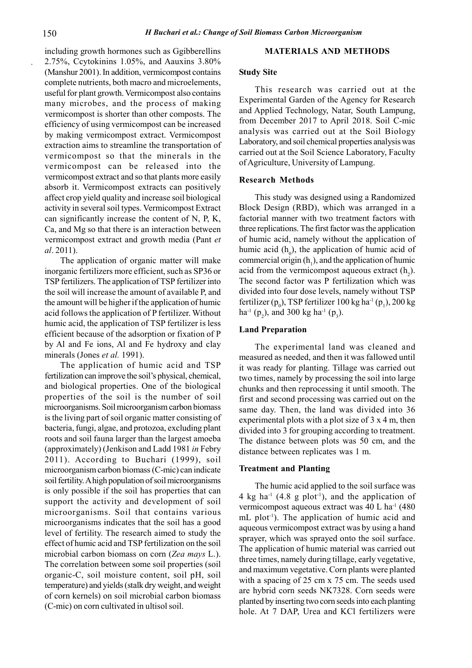including growth hormones such as Ggibberellins 2.75%, Ccytokinins 1.05%, and Aauxins 3.80% (Manshur 2001). In addition, vermicompost contains complete nutrients, both macro and microelements, useful for plant growth. Vermicompost also contains many microbes, and the process of making vermicompost is shorter than other composts. The efficiency of using vermicompost can be increased by making vermicompost extract. Vermicompost extraction aims to streamline the transportation of vermicompost so that the minerals in the vermicompost can be released into the vermicompost extract and so that plants more easily absorb it. Vermicompost extracts can positively affect crop yield quality and increase soil biological activity in several soil types. Vermicompost Extract can significantly increase the content of N, P, K, Ca, and Mg so that there is an interaction between vermicompost extract and growth media (Pant et al. 2011).

The application of organic matter will make inorganic fertilizers more efficient, such as SP36 or TSP fertilizers. The application of TSP fertilizer into the soil will increase the amount of available P, and the amount will be higher if the application of humic acid follows the application of P fertilizer. Without humic acid, the application of TSP fertilizer is less efficient because of the adsorption or fixation of P by Al and Fe ions, Al and Fe hydroxy and clay minerals (Jones et al. 1991).

The application of humic acid and TSP fertilization can improve the soil's physical, chemical, and biological properties. One of the biological properties of the soil is the number of soil microorganisms. Soil microorganism carbon biomass is the living part of soil organic matter consisting of bacteria, fungi, algae, and protozoa, excluding plant roots and soil fauna larger than the largest amoeba (approximately) (Jenkison and Ladd 1981 in Febry 2011). According to Buchari (1999), soil microorganism carbon biomass (C-mic) can indicate soil fertility. A high population of soil microorganisms is only possible if the soil has properties that can support the activity and development of soil microorganisms. Soil that contains various microorganisms indicates that the soil has a good level of fertility. The research aimed to study the effect of humic acid and TSP fertilization on the soil microbial carbon biomass on corn (Zea mays L.). The correlation between some soil properties (soil organic-C, soil moisture content, soil pH, soil temperature) and yields (stalk dry weight, and weight of corn kernels) on soil microbial carbon biomass (C-mic) on corn cultivated in ultisol soil.

## MATERIALS AND METHODS

#### Study Site

This research was carried out at the Experimental Garden of the Agency for Research and Applied Technology, Natar, South Lampung, from December 2017 to April 2018. Soil C-mic analysis was carried out at the Soil Biology Laboratory, and soil chemical properties analysis was carried out at the Soil Science Laboratory, Faculty of Agriculture, University of Lampung.

#### Research Methods

This study was designed using a Randomized Block Design (RBD), which was arranged in a factorial manner with two treatment factors with three replications. The first factor was the application of humic acid, namely without the application of humic acid  $(h_0)$ , the application of humic acid of commercial origin  $(h_1)$ , and the application of humic acid from the vermicompost aqueous extract  $(h_2)$ . The second factor was P fertilization which was divided into four dose levels, namely without TSP fertilizer ( $p_0$ ), TSP fertilizer 100 kg ha<sup>-1</sup> ( $p_1$ ), 200 kg ha<sup>-1</sup> (p<sub>2</sub>), and 300 kg ha<sup>-1</sup> (p<sub>3</sub>).

## Land Preparation

The experimental land was cleaned and measured as needed, and then it was fallowed until it was ready for planting. Tillage was carried out two times, namely by processing the soil into large chunks and then reprocessing it until smooth. The first and second processing was carried out on the same day. Then, the land was divided into 36 experimental plots with a plot size of  $3 \times 4$  m, then divided into 3 for grouping according to treatment. The distance between plots was 50 cm, and the distance between replicates was 1 m.

#### Treatment and Planting

The humic acid applied to the soil surface was 4 kg ha<sup>-1</sup> (4.8 g plot<sup>-1</sup>), and the application of vermicompost aqueous extract was 40 L ha<sup>-1</sup> (480) mL plot<sup>-1</sup>). The application of humic acid and aqueous vermicompost extract was by using a hand sprayer, which was sprayed onto the soil surface. The application of humic material was carried out three times, namely during tillage, early vegetative, and maximum vegetative. Corn plants were planted with a spacing of 25 cm x 75 cm. The seeds used are hybrid corn seeds NK7328. Corn seeds were planted by inserting two corn seeds into each planting hole. At 7 DAP, Urea and KCl fertilizers were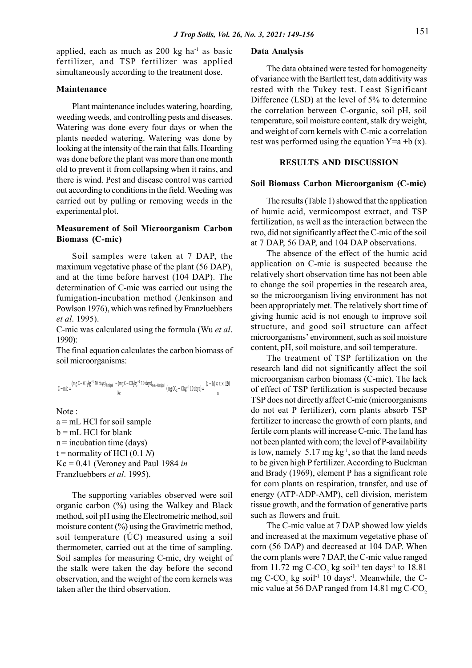applied, each as much as  $200 \text{ kg}$  ha<sup>-1</sup> as basic fertilizer, and TSP fertilizer was applied simultaneously according to the treatment dose.

## Maintenance

Plant maintenance includes watering, hoarding, weeding weeds, and controlling pests and diseases. Watering was done every four days or when the plants needed watering. Watering was done by looking at the intensity of the rain that falls. Hoarding was done before the plant was more than one month old to prevent it from collapsing when it rains, and there is wind. Pest and disease control was carried out according to conditions in the field. Weeding was carried out by pulling or removing weeds in the experimental plot.

# Measurement of Soil Microorganism Carbon Biomass (C-mic)

Soil samples were taken at 7 DAP, the maximum vegetative phase of the plant (56 DAP), and at the time before harvest (104 DAP). The determination of C-mic was carried out using the fumigation-incubation method (Jenkinson and Powlson 1976), which was refined by Franzluebbers et al. 1995).

C-mic was calculated using the formula (Wu et al. 1990):

The final equation calculates the carbon biomass of soil microorganisms:

$$
C - mic = \frac{(mgC - CD_2kg^{-1}10 \text{ days})_{\text{fumigasi}}}{}_{\text{V}} - (mgC - CD_2kg^{-1}10 \text{ days})_{\text{tan-fumigasi}}(mgC_2 - Ckg^{-1}10 \text{ days}) = \frac{(a - b) \times t \times 120}{25} \text{ of effect}
$$

 $\mathbb{R}$  and  $\mathbb{R}$  are the set of  $\mathbb{R}$  and  $\mathbb{R}$  are the set of  $\mathbb{R}$  and  $\mathbb{R}$  are the set of  $\mathbb{R}$  and  $\mathbb{R}$  are the set of  $\mathbb{R}$  and  $\mathbb{R}$  are the set of  $\mathbb{R}$  and  $\mathbb{R}$  are the set of

Note :

 $a = mL$  HCl for soil sample b = mL HCl for blank  $n =$  incubation time (days) t = normality of HCl  $(0.1 N)$  $Kc = 0.41$  (Veroney and Paul 1984 in Franzluebbers et al. 1995).

The supporting variables observed were soil organic carbon (%) using the Walkey and Black method, soil pH using the Electrometric method, soil moisture content (%) using the Gravimetric method, soil temperature  $(\dot{U}C)$  measured using a soil thermometer, carried out at the time of sampling. Soil samples for measuring C-mic, dry weight of the stalk were taken the day before the second observation, and the weight of the corn kernels was taken after the third observation.

#### Data Analysis

The data obtained were tested for homogeneity of variance with the Bartlett test, data additivity was tested with the Tukey test. Least Significant Difference (LSD) at the level of 5% to determine the correlation between C-organic, soil pH, soil temperature, soil moisture content, stalk dry weight, and weight of corn kernels with C-mic a correlation test was performed using the equation  $Y=a + b(x)$ .

## RESULTS AND DISCUSSION

#### Soil Biomass Carbon Microorganism (C-mic)

The results (Table 1) showed that the application of humic acid, vermicompost extract, and TSP fertilization, as well as the interaction between the two, did not significantly affect the C-mic of the soil at 7 DAP, 56 DAP, and 104 DAP observations.

The absence of the effect of the humic acid application on C-mic is suspected because the relatively short observation time has not been able to change the soil properties in the research area, so the microorganism living environment has not been appropriately met. The relatively short time of giving humic acid is not enough to improve soil structure, and good soil structure can affect microorganisms' environment, such as soil moisture content, pH, soil moisture, and soil temperature.

 $\frac{10 \text{ days}}{K}$   $\frac{10 \text{ days}}{10 \text{ days}}$   $\frac{10 \text{ days}}{10 \text{ days}}$  (mg CO<sub>2</sub> – C kg<sup>-1</sup> 10 days) =  $\frac{(a-0) \times 1 \times 120}{n}$  of effect of TSP fertilization is suspected because n and a structure of the structure of the structure of the structure of the structure of the structure of the structure of the structure of the structure of the structure of the structure of the structure of the structure The treatment of TSP fertilization on the research land did not significantly affect the soil microorganism carbon biomass (C-mic). The lack TSP does not directly affect C-mic (microorganisms do not eat P fertilizer), corn plants absorb TSP fertilizer to increase the growth of corn plants, and fertile corn plants will increase C-mic. The land has not been planted with corn; the level of P-availability is low, namely  $5.17 \text{ mg kg}^{-1}$ , so that the land needs to be given high P fertilizer. According to Buckman and Brady (1969), element P has a significant role for corn plants on respiration, transfer, and use of energy (ATP-ADP-AMP), cell division, meristem tissue growth, and the formation of generative parts such as flowers and fruit.

> The C-mic value at 7 DAP showed low yields and increased at the maximum vegetative phase of corn (56 DAP) and decreased at 104 DAP. When the corn plants were 7 DAP, the C-mic value ranged from 11.72 mg C-CO<sub>2</sub> kg soil<sup>-1</sup> ten days<sup>-1</sup> to 18.81 mg  $C$ - $CO_2$  kg soil<sup>-1</sup> 10 days<sup>-1</sup>. Meanwhile, the Cmic value at 56 DAP ranged from 14.81 mg C-CO<sub>2</sub>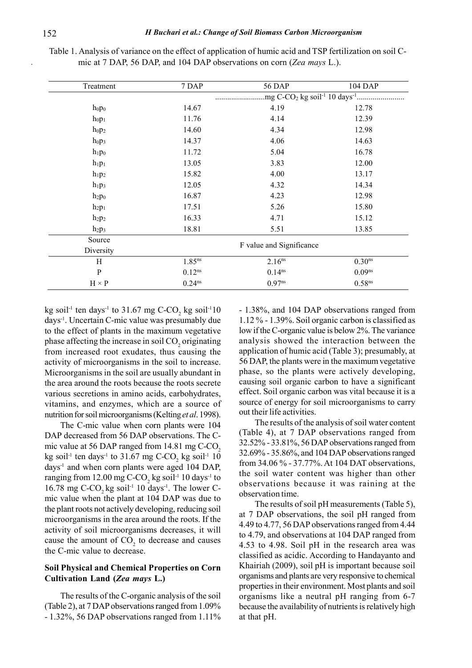| Treatment                     | 7 DAP                | <b>56 DAP</b>            | 104 DAP            |
|-------------------------------|----------------------|--------------------------|--------------------|
|                               |                      |                          |                    |
| $h_0 p_0$                     | 14.67                | 4.19                     | 12.78              |
| hop <sub>1</sub>              | 11.76                | 4.14                     | 12.39              |
| h <sub>0</sub> p <sub>2</sub> | 14.60                | 4.34                     | 12.98              |
| hop <sub>3</sub>              | 14.37                | 4.06                     | 14.63              |
| $h_1p_0$                      | 11.72                | 5.04                     | 16.78              |
| $h_1p_1$                      | 13.05                | 3.83                     | 12.00              |
| $h_1p_2$                      | 15.82                | 4.00                     | 13.17              |
| $h_1p_3$                      | 12.05                | 4.32                     | 14.34              |
| h <sub>2</sub> p <sub>0</sub> | 16.87                | 4.23                     | 12.98              |
| $h_2p_1$                      | 17.51                | 5.26                     | 15.80              |
| $h_2p_2$                      | 16.33                | 4.71                     | 15.12              |
| $h_2p_3$                      | 18.81                | 5.51                     | 13.85              |
| Source                        |                      | F value and Significance |                    |
| Diversity                     |                      |                          |                    |
| H                             | $1.85$ <sup>ns</sup> | $2.16^{ns}$              | 0.30 <sup>ns</sup> |
| $\, {\bf P}$                  | $0.12^{ns}$          | $0.14^{ns}$              | 0.09 <sup>ns</sup> |
| $H \times P$                  | $0.24^{ns}$          | $0.97^{ns}$              | 0.58 <sup>ns</sup> |

Table 1. Analysis of variance on the effect of application of humic acid and TSP fertilization on soil Cmic at 7 DAP, 56 DAP, and 104 DAP observations on corn (Zea mays L.).

kg soil<sup>-1</sup> ten days<sup>-1</sup> to 31.67 mg C-CO<sub>2</sub> kg soil<sup>-1</sup>10 days-1. Uncertain C-mic value was presumably due to the effect of plants in the maximum vegetative phase affecting the increase in soil  $\mathrm{CO}_2$  originating from increased root exudates, thus causing the activity of microorganisms in the soil to increase. Microorganisms in the soil are usually abundant in the area around the roots because the roots secrete various secretions in amino acids, carbohydrates, vitamins, and enzymes, which are a source of nutrition for soil microorganisms (Kelting et al. 1998).

The C-mic value when corn plants were 104 DAP decreased from 56 DAP observations. The Cmic value at 56 DAP ranged from 14.81 mg C-CO<sub>2</sub> kg soil<sup>-1</sup> ten days<sup>-1</sup> to 31.67 mg C-CO<sub>2</sub> kg soil<sup>-1</sup> 10 days-1 and when corn plants were aged 104 DAP, ranging from  $12.00$  mg C-CO<sub>2</sub> kg soil<sup>-1</sup> 10 days<sup>-1</sup> to 16.78 mg C-CO<sub>2</sub> kg soil<sup>-1</sup> 10 days<sup>-1</sup>. The lower Cmic value when the plant at 104 DAP was due to the plant roots not actively developing, reducing soil microorganisms in the area around the roots. If the activity of soil microorganisms decreases, it will cause the amount of  $CO<sub>2</sub>$  to decrease and causes the C-mic value to decrease.

# Soil Physical and Chemical Properties on Corn Cultivation Land (Zea mays L.)

The results of the C-organic analysis of the soil (Table 2), at 7 DAP observations ranged from 1.09% - 1.32%, 56 DAP observations ranged from 1.11% - 1.38%, and 104 DAP observations ranged from 1.12 % - 1.39%. Soil organic carbon is classified as low if the C-organic value is below 2%. The variance analysis showed the interaction between the application of humic acid (Table 3); presumably, at 56 DAP, the plants were in the maximum vegetative phase, so the plants were actively developing, causing soil organic carbon to have a significant effect. Soil organic carbon was vital because it is a source of energy for soil microorganisms to carry out their life activities.

The results of the analysis of soil water content (Table 4), at 7 DAP observations ranged from 32.52% - 33.81%, 56 DAP observations ranged from 32.69% - 35.86%, and 104 DAP observations ranged from 34.06 % - 37.77%. At 104 DAT observations, the soil water content was higher than other observations because it was raining at the observation time.

The results of soil pH measurements (Table 5), at 7 DAP observations, the soil pH ranged from 4.49 to 4.77, 56 DAP observations ranged from 4.44 to 4.79, and observations at 104 DAP ranged from 4.53 to 4.98. Soil pH in the research area was classified as acidic. According to Handayanto and Khairiah (2009), soil pH is important because soil organisms and plants are very responsive to chemical properties in their environment. Most plants and soil organisms like a neutral pH ranging from 6-7 because the availability of nutrients is relatively high at that pH.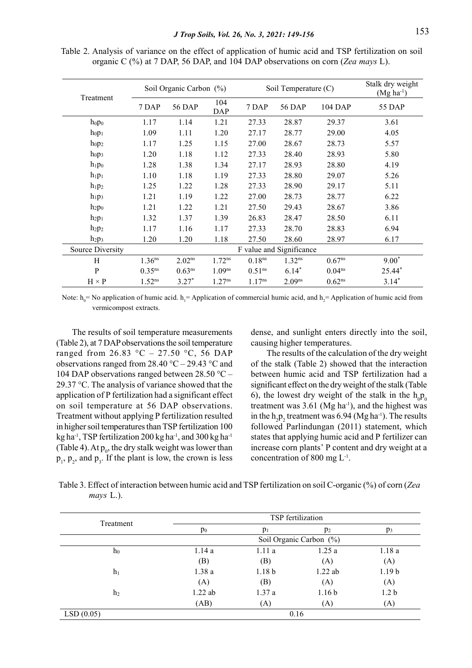Table 2. Analysis of variance on the effect of application of humic acid and TSP fertilization on soil organic C (%) at 7 DAP, 56 DAP, and 104 DAP observations on corn (Zea mays L).

|                               |                    | Soil Organic Carbon (%) |                    |             | Soil Temperature (C)     |                      | Stalk dry weight<br>$(Mg ha-1)$ |
|-------------------------------|--------------------|-------------------------|--------------------|-------------|--------------------------|----------------------|---------------------------------|
| Treatment                     | 7 DAP              | 56 DAP                  | 104<br><b>DAP</b>  | 7 DAP       | 56 DAP                   | 104 DAP              | 55 DAP                          |
| $hop_0$                       | 1.17               | 1.14                    | 1.21               | 27.33       | 28.87                    | 29.37                | 3.61                            |
| hop <sub>1</sub>              | 1.09               | 1.11                    | 1.20               | 27.17       | 28.77                    | 29.00                | 4.05                            |
| hop <sub>2</sub>              | 1.17               | 1.25                    | 1.15               | 27.00       | 28.67                    | 28.73                | 5.57                            |
| h <sub>0</sub> p <sub>3</sub> | 1.20               | 1.18                    | 1.12               | 27.33       | 28.40                    | 28.93                | 5.80                            |
| $h_1p_0$                      | 1.28               | 1.38                    | 1.34               | 27.17       | 28.93                    | 28.80                | 4.19                            |
| $h_1p_1$                      | 1.10               | 1.18                    | 1.19               | 27.33       | 28.80                    | 29.07                | 5.26                            |
| $h_1p_2$                      | 1.25               | 1.22                    | 1.28               | 27.33       | 28.90                    | 29.17                | 5.11                            |
| $h_1p_3$                      | 1.21               | 1.19                    | 1.22               | 27.00       | 28.73                    | 28.77                | 6.22                            |
| $h_2p_0$                      | 1.21               | 1.22                    | 1.21               | 27.50       | 29.43                    | 28.67                | 3.86                            |
| $h_2p_1$                      | 1.32               | 1.37                    | 1.39               | 26.83       | 28.47                    | 28.50                | 6.11                            |
| $h_2p_2$                      | 1.17               | 1.16                    | 1.17               | 27.33       | 28.70                    | 28.83                | 6.94                            |
| $h_2p_3$                      | 1.20               | 1.20                    | 1.18               | 27.50       | 28.60                    | 28.97                | 6.17                            |
| Source Diversity              |                    |                         |                    |             | F value and Significance |                      |                                 |
| H                             | 1.36 <sup>ns</sup> | $2.02^{ns}$             | 1.72 <sup>ns</sup> | $0.18$ ns   | $1.32^{ns}$              | $0.67^{ns}$          | $9.00*$                         |
| P                             | $0.35^{ns}$        | $0.63^{ns}$             | 1.09 <sup>ns</sup> | $0.51^{ns}$ | $6.14*$                  | 0.04 <sup>ns</sup>   | 25.44*                          |
| $H \times P$                  | $1.52^{ns}$        | $3.27*$                 | $1.27^{ns}$        | $1.17^{ns}$ | $2.09^{ns}$              | $0.62$ <sup>ns</sup> | $3.14*$                         |

Note:  $h_0$  = No application of humic acid.  $h_1$  = Application of commercial humic acid, and  $h_2$  = Application of humic acid from vermicompost extracts.

The results of soil temperature measurements (Table 2), at 7 DAP observations the soil temperature ranged from 26.83  $\degree$ C – 27.50  $\degree$ C, 56 DAP observations ranged from  $28.40 \degree C - 29.43 \degree C$  and 104 DAP observations ranged between  $28.50 \degree C -$ 29.37 °C. The analysis of variance showed that the application of P fertilization had a significant effect on soil temperature at 56 DAP observations. Treatment without applying P fertilization resulted in higher soil temperatures than TSP fertilization 100 kg ha<sup>-1</sup>, TSP fertilization 200 kg ha<sup>-1</sup>, and 300 kg ha<sup>-1</sup> (Table 4). At  $p_0$ , the dry stalk weight was lower than  $p_1$ ,  $p_2$ , and  $p_3$ . If the plant is low, the crown is less

dense, and sunlight enters directly into the soil, causing higher temperatures.

The results of the calculation of the dry weight of the stalk (Table 2) showed that the interaction between humic acid and TSP fertilization had a significant effect on the dry weight of the stalk (Table 6), the lowest dry weight of the stalk in the  $h_0p_0$ treatment was  $3.61$  (Mg ha<sup>-1</sup>), and the highest was in the  $h_2p_2$  treatment was 6.94 (Mg ha<sup>-1</sup>). The results followed Parlindungan (2011) statement, which states that applying humic acid and P fertilizer can increase corn plants' P content and dry weight at a concentration of 800 mg  $L^{-1}$ .

Table 3. Effect of interaction between humic acid and TSP fertilization on soil C-organic (%) of corn (Zea mays L.).

|                |           |                   | TSP fertilization       |                   |
|----------------|-----------|-------------------|-------------------------|-------------------|
| Treatment      | $p_0$     | $p_1$             | $p_2$                   | $p_3$             |
|                |           |                   | Soil Organic Carbon (%) |                   |
| $h_0$          | 1.14a     | 1.11a             | 1.25a                   | 1.18a             |
|                | (B)       | (B)               | (A)                     | (A)               |
| h <sub>1</sub> | 1.38a     | 1.18 <sub>b</sub> | 1.22 ab                 | 1.19 <sub>b</sub> |
|                | (A)       | (B)               | (A)                     | (A)               |
| h <sub>2</sub> | $1.22$ ab | 1.37a             | 1.16 <sub>b</sub>       | 1.2 <sub>b</sub>  |
|                | (AB)      | (A)               | (A)                     | (A)               |
| LSD(0.05)      |           |                   | 0.16                    |                   |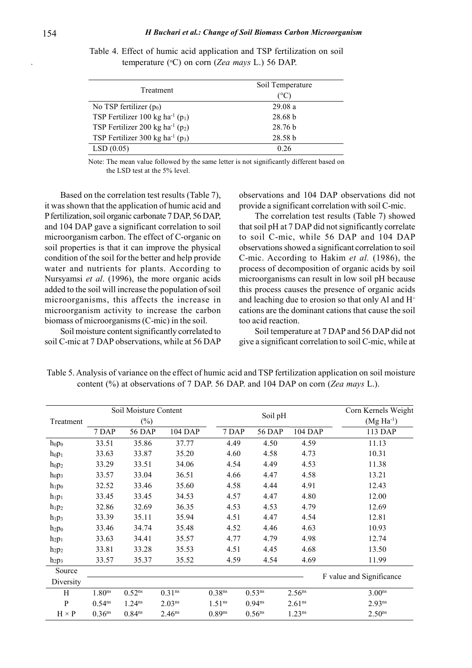| Treatment                                        | Soil Temperature<br>$^{\circ}$ C |
|--------------------------------------------------|----------------------------------|
| No TSP fertilizer $(p_0)$                        | 29.08a                           |
| TSP Fertilizer 100 kg ha <sup>-1</sup> ( $p_1$ ) | 28.68 b                          |
| TSP Fertilizer 200 kg ha <sup>-1</sup> ( $p_2$ ) | 28.76 <sub>b</sub>               |
| TSP Fertilizer 300 kg ha <sup>-1</sup> ( $p_3$ ) | 28.58 <sub>b</sub>               |
| LSD(0.05)                                        | 0.26                             |

Table 4. Effect of humic acid application and TSP fertilization on soil temperature ( $\rm{^{\circ}C}$ ) on corn (Zea mays L.) 56 DAP.

Note: The mean value followed by the same letter is not significantly different based on the LSD test at the 5% level.

Based on the correlation test results (Table 7), it was shown that the application of humic acid and P fertilization, soil organic carbonate 7 DAP, 56 DAP, and 104 DAP gave a significant correlation to soil microorganism carbon. The effect of C-organic on soil properties is that it can improve the physical condition of the soil for the better and help provide water and nutrients for plants. According to Nursyamsi et al. (1996), the more organic acids added to the soil will increase the population of soil microorganisms, this affects the increase in microorganism activity to increase the carbon biomass of microorganisms (C-mic) in the soil.

Soil moisture content significantly correlated to soil C-mic at 7 DAP observations, while at 56 DAP observations and 104 DAP observations did not provide a significant correlation with soil C-mic.

The correlation test results (Table 7) showed that soil pH at 7 DAP did not significantly correlate to soil C-mic, while 56 DAP and 104 DAP observations showed a significant correlation to soil C-mic. According to Hakim et al. (1986), the process of decomposition of organic acids by soil microorganisms can result in low soil pH because this process causes the presence of organic acids and leaching due to erosion so that only Al and  $H^+$ cations are the dominant cations that cause the soil too acid reaction.

Soil temperature at 7 DAP and 56 DAP did not give a significant correlation to soil C-mic, while at

| Treatment        |                    | Soil Moisture Content<br>$(\%)$ |                    |                    | Soil pH            |                    | Corn Kernels Weight<br>$(Mg Ha^{-1})$ |
|------------------|--------------------|---------------------------------|--------------------|--------------------|--------------------|--------------------|---------------------------------------|
|                  | 7 DAP              | 56 DAP                          | 104 DAP            | 7 DAP              | 56 DAP             | 104 DAP            | 113 DAP                               |
| hop <sub>0</sub> | 33.51              | 35.86                           | 37.77              | 4.49               | 4.50               | 4.59               | 11.13                                 |
| hop <sub>1</sub> | 33.63              | 33.87                           | 35.20              | 4.60               | 4.58               | 4.73               | 10.31                                 |
| hop <sub>2</sub> | 33.29              | 33.51                           | 34.06              | 4.54               | 4.49               | 4.53               | 11.38                                 |
| $h_0 p_3$        | 33.57              | 33.04                           | 36.51              | 4.66               | 4.47               | 4.58               | 13.21                                 |
| $h_1p_0$         | 32.52              | 33.46                           | 35.60              | 4.58               | 4.44               | 4.91               | 12.43                                 |
| $h_1p_1$         | 33.45              | 33.45                           | 34.53              | 4.57               | 4.47               | 4.80               | 12.00                                 |
| $h_1p_2$         | 32.86              | 32.69                           | 36.35              | 4.53               | 4.53               | 4.79               | 12.69                                 |
| $h_1p_3$         | 33.39              | 35.11                           | 35.94              | 4.51               | 4.47               | 4.54               | 12.81                                 |
| $h_2p_0$         | 33.46              | 34.74                           | 35.48              | 4.52               | 4.46               | 4.63               | 10.93                                 |
| $h_2p_1$         | 33.63              | 34.41                           | 35.57              | 4.77               | 4.79               | 4.98               | 12.74                                 |
| $h_2p_2$         | 33.81              | 33.28                           | 35.53              | 4.51               | 4.45               | 4.68               | 13.50                                 |
| $h_2p_3$         | 33.57              | 35.37                           | 35.52              | 4.59               | 4.54               | 4.69               | 11.99                                 |
| Source           |                    |                                 |                    |                    |                    |                    |                                       |
| Diversity        |                    |                                 |                    |                    |                    |                    | F value and Significance              |
| H                | 1.80 <sup>ns</sup> | $0.52^{ns}$                     | 0.31 <sup>ns</sup> | 0.38 <sup>ns</sup> | 0.53 <sup>ns</sup> | 2.56 <sup>ns</sup> | 3.00 <sup>ns</sup>                    |
| $\, {\bf p}$     | $0.54^{ns}$        | $1.24^{ns}$                     | 2.03 <sup>ns</sup> | 1.51 <sup>ns</sup> | $0.94^{ns}$        | 2.61 <sup>ns</sup> | $2.93^{ns}$                           |
| $H \times P$     | $0.36$ ns          | 0.84 <sup>ns</sup>              | 2.46 <sup>ns</sup> | $0.89$ ns          | 0.56 <sup>ns</sup> | $1.23^{ns}$        | 2.50 <sup>ns</sup>                    |

Table 5. Analysis of variance on the effect of humic acid and TSP fertilization application on soil moisture content (%) at observations of 7 DAP. 56 DAP. and 104 DAP on corn (Zea mays L.).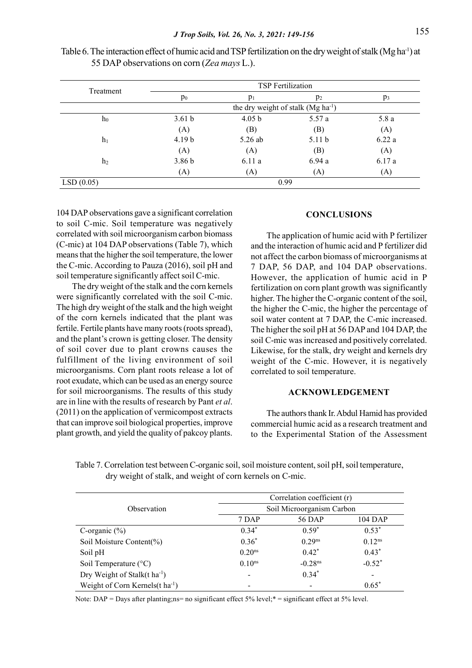| Treatment      | TSP Fertilization |                                                |                   |       |  |  |  |
|----------------|-------------------|------------------------------------------------|-------------------|-------|--|--|--|
|                | p <sub>0</sub>    | $p_1$                                          | $p_2$             | $p_3$ |  |  |  |
|                |                   | the dry weight of stalk (Mg ha <sup>-1</sup> ) |                   |       |  |  |  |
| $h_0$          | 3.61 <sub>b</sub> | 4.05 <sub>b</sub>                              | 5.57a             | 5.8a  |  |  |  |
|                | (A)               | (B)                                            | (B)               | (A)   |  |  |  |
| h <sub>1</sub> | 4.19 <sub>b</sub> | 5.26 ab                                        | 5.11 <sub>b</sub> | 6.22a |  |  |  |
|                | (A)               | (A)                                            | (B)               | (A)   |  |  |  |
| h <sub>2</sub> | 3.86 <sub>b</sub> | 6.11a                                          | 6.94a             | 6.17a |  |  |  |
|                | (A)               | (A)                                            | (A)               | (A)   |  |  |  |
| LSD(0.05)      |                   |                                                | 0.99              |       |  |  |  |

Table 6. The interaction effect of humic acid and TSP fertilization on the dry weight of stalk (Mg ha<sup>-1</sup>) at 55 DAP observations on corn (Zea mays L.).

104 DAP observations gave a significant correlation to soil C-mic. Soil temperature was negatively correlated with soil microorganism carbon biomass (C-mic) at 104 DAP observations (Table 7), which means that the higher the soil temperature, the lower the C-mic. According to Pauza (2016), soil pH and soil temperature significantly affect soil C-mic.

The dry weight of the stalk and the corn kernels were significantly correlated with the soil C-mic. The high dry weight of the stalk and the high weight of the corn kernels indicated that the plant was fertile. Fertile plants have many roots (roots spread), and the plant's crown is getting closer. The density of soil cover due to plant crowns causes the fulfillment of the living environment of soil microorganisms. Corn plant roots release a lot of root exudate, which can be used as an energy source for soil microorganisms. The results of this study are in line with the results of research by Pant et al. (2011) on the application of vermicompost extracts that can improve soil biological properties, improve plant growth, and yield the quality of pakcoy plants.

# **CONCLUSIONS**

The application of humic acid with P fertilizer and the interaction of humic acid and P fertilizer did not affect the carbon biomass of microorganisms at 7 DAP, 56 DAP, and 104 DAP observations. However, the application of humic acid in P fertilization on corn plant growth was significantly higher. The higher the C-organic content of the soil, the higher the C-mic, the higher the percentage of soil water content at 7 DAP, the C-mic increased. The higher the soil pH at 56 DAP and 104 DAP, the soil C-mic was increased and positively correlated. Likewise, for the stalk, dry weight and kernels dry weight of the C-mic. However, it is negatively correlated to soil temperature.

# ACKNOWLEDGEMENT

The authors thank Ir. Abdul Hamid has provided commercial humic acid as a research treatment and to the Experimental Station of the Assessment

|                                              | Correlation coefficient (r) |                          |                          |  |  |  |
|----------------------------------------------|-----------------------------|--------------------------|--------------------------|--|--|--|
| Observation                                  | Soil Microorganism Carbon   |                          |                          |  |  |  |
|                                              | 7 DAP                       | 56 DAP                   | 104 DAP                  |  |  |  |
| C-organic $(\%)$                             | $0.34*$                     | $0.59*$                  | $0.53*$                  |  |  |  |
| Soil Moisture Content(%)                     | $0.36*$                     | $0.29^{ns}$              | $0.12^{ns}$              |  |  |  |
| Soil pH                                      | 0.20 <sup>ns</sup>          | $0.42*$                  | $0.43*$                  |  |  |  |
| Soil Temperature (°C)                        | 0.10 <sup>ns</sup>          | $-0.28$ <sup>ns</sup>    | $-0.52*$                 |  |  |  |
| Dry Weight of Stalk(t ha <sup>-1</sup> )     | $\overline{\phantom{0}}$    | $0.34*$                  | $\overline{\phantom{0}}$ |  |  |  |
| Weight of Corn Kernels $(t \text{ ha}^{-1})$ |                             | $\overline{\phantom{a}}$ | $0.65*$                  |  |  |  |

Table 7. Correlation test between C-organic soil, soil moisture content, soil pH, soil temperature, dry weight of stalk, and weight of corn kernels on C-mic.

Note: DAP = Days after planting;ns= no significant effect 5% level;\* = significant effect at 5% level.